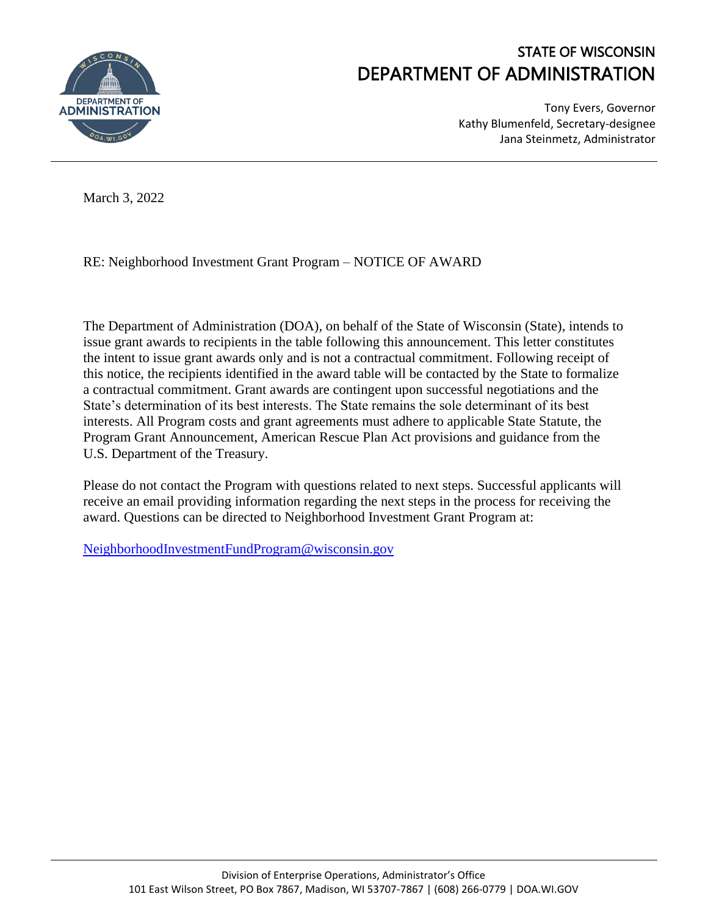

## STATE OF WISCONSIN DEPARTMENT OF ADMINISTRATION

Tony Evers, Governor Kathy Blumenfeld, Secretary-designee Jana Steinmetz, Administrator

March 3, 2022

RE: Neighborhood Investment Grant Program – NOTICE OF AWARD

The Department of Administration (DOA), on behalf of the State of Wisconsin (State), intends to issue grant awards to recipients in the table following this announcement. This letter constitutes the intent to issue grant awards only and is not a contractual commitment. Following receipt of this notice, the recipients identified in the award table will be contacted by the State to formalize a contractual commitment. Grant awards are contingent upon successful negotiations and the State's determination of its best interests. The State remains the sole determinant of its best interests. All Program costs and grant agreements must adhere to applicable State Statute, the Program Grant Announcement, American Rescue Plan Act provisions and guidance from the U.S. Department of the Treasury.

Please do not contact the Program with questions related to next steps. Successful applicants will receive an email providing information regarding the next steps in the process for receiving the award. Questions can be directed to Neighborhood Investment Grant Program at:

[NeighborhoodInvestmentFundProgram@wisconsin.gov](mailto:NeighborhoodInvestmentFundProgram@wisconsin.gov)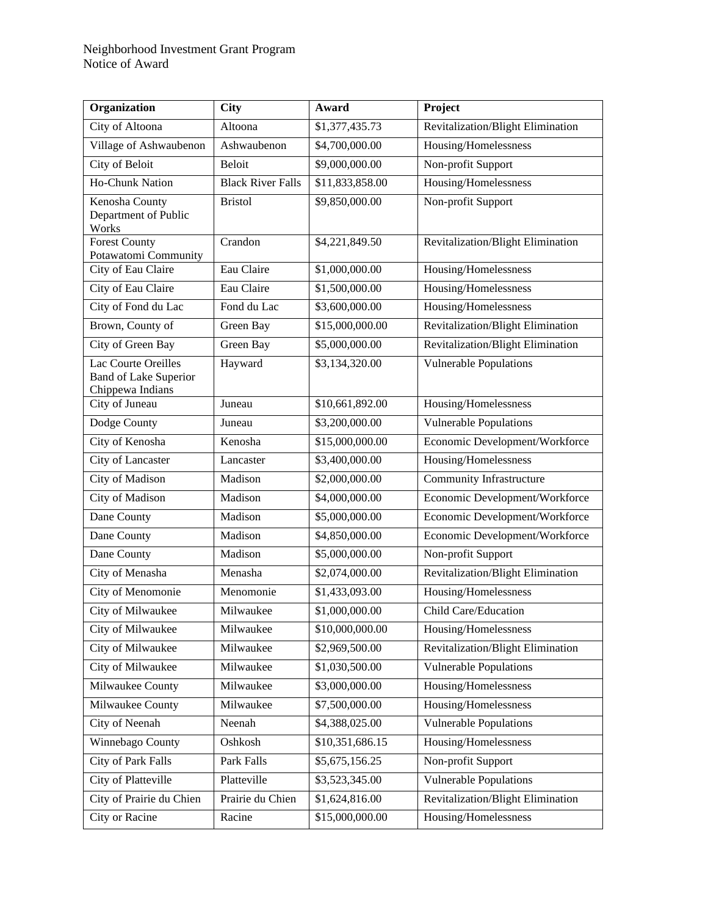## Neighborhood Investment Grant Program Notice of Award

| Organization                                                            | <b>City</b>              | Award           | Project                                  |
|-------------------------------------------------------------------------|--------------------------|-----------------|------------------------------------------|
| City of Altoona                                                         | Altoona                  | \$1,377,435.73  | Revitalization/Blight Elimination        |
| Village of Ashwaubenon                                                  | Ashwaubenon              | \$4,700,000.00  | Housing/Homelessness                     |
| City of Beloit                                                          | Beloit                   | \$9,000,000.00  | Non-profit Support                       |
| Ho-Chunk Nation                                                         | <b>Black River Falls</b> | \$11,833,858.00 | Housing/Homelessness                     |
| Kenosha County<br>Department of Public<br>Works                         | <b>Bristol</b>           | \$9,850,000.00  | Non-profit Support                       |
| <b>Forest County</b><br>Potawatomi Community                            | Crandon                  | \$4,221,849.50  | Revitalization/Blight Elimination        |
| City of Eau Claire                                                      | Eau Claire               | \$1,000,000.00  | Housing/Homelessness                     |
| City of Eau Claire                                                      | Eau Claire               | \$1,500,000.00  | Housing/Homelessness                     |
| City of Fond du Lac                                                     | Fond du Lac              | \$3,600,000.00  | Housing/Homelessness                     |
| Brown, County of                                                        | Green Bay                | \$15,000,000.00 | Revitalization/Blight Elimination        |
| City of Green Bay                                                       | Green Bay                | \$5,000,000.00  | Revitalization/Blight Elimination        |
| Lac Courte Oreilles<br><b>Band of Lake Superior</b><br>Chippewa Indians | Hayward                  | \$3,134,320.00  | <b>Vulnerable Populations</b>            |
| City of Juneau                                                          | Juneau                   | \$10,661,892.00 | Housing/Homelessness                     |
| Dodge County                                                            | Juneau                   | \$3,200,000.00  | Vulnerable Populations                   |
| City of Kenosha                                                         | Kenosha                  | \$15,000,000.00 | Economic Development/Workforce           |
| City of Lancaster                                                       | Lancaster                | \$3,400,000.00  | Housing/Homelessness                     |
| City of Madison                                                         | Madison                  | \$2,000,000.00  | Community Infrastructure                 |
| City of Madison                                                         | Madison                  | \$4,000,000.00  | Economic Development/Workforce           |
| Dane County                                                             | Madison                  | \$5,000,000.00  | Economic Development/Workforce           |
| Dane County                                                             | Madison                  | \$4,850,000.00  | Economic Development/Workforce           |
| Dane County                                                             | Madison                  | \$5,000,000.00  | Non-profit Support                       |
| City of Menasha                                                         | Menasha                  | \$2,074,000.00  | Revitalization/Blight Elimination        |
| City of Menomonie                                                       | Menomonie                | \$1,433,093.00  | Housing/Homelessness                     |
| City of Milwaukee                                                       | Milwaukee                | \$1,000,000.00  | Child Care/Education                     |
| City of Milwaukee                                                       | Milwaukee                | \$10,000,000.00 | Housing/Homelessness                     |
| City of Milwaukee                                                       | Milwaukee                | \$2,969,500.00  | <b>Revitalization/Blight Elimination</b> |
| City of Milwaukee                                                       | Milwaukee                | \$1,030,500.00  | Vulnerable Populations                   |
| Milwaukee County                                                        | Milwaukee                | \$3,000,000.00  | Housing/Homelessness                     |
| Milwaukee County                                                        | Milwaukee                | \$7,500,000.00  | Housing/Homelessness                     |
| City of Neenah                                                          | Neenah                   | \$4,388,025.00  | <b>Vulnerable Populations</b>            |
| Winnebago County                                                        | Oshkosh                  | \$10,351,686.15 | Housing/Homelessness                     |
| City of Park Falls                                                      | Park Falls               | \$5,675,156.25  | Non-profit Support                       |
| City of Platteville                                                     | Platteville              | \$3,523,345.00  | <b>Vulnerable Populations</b>            |
| City of Prairie du Chien                                                | Prairie du Chien         | \$1,624,816.00  | Revitalization/Blight Elimination        |
| City or Racine                                                          | Racine                   | \$15,000,000.00 | Housing/Homelessness                     |